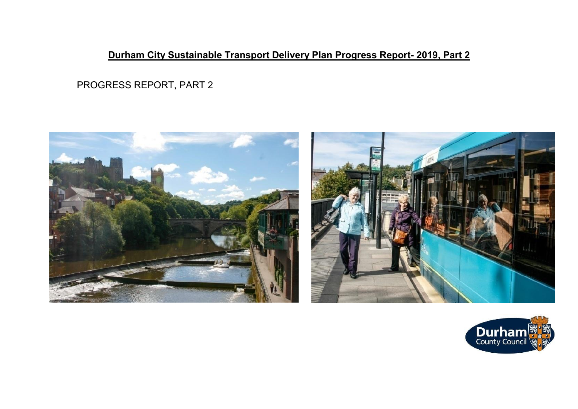# **Durham City Sustainable Transport Delivery Plan Progress Report- 2019, Part 2**

PROGRESS REPORT, PART 2





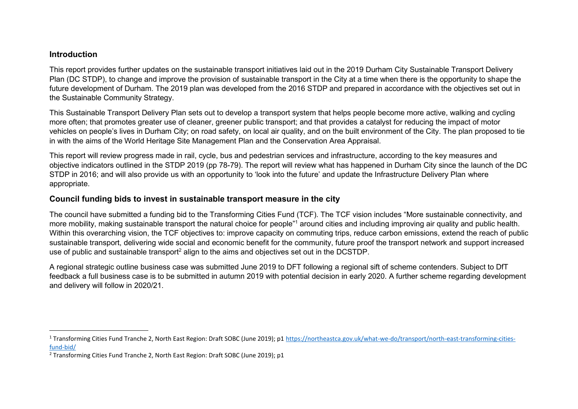#### **Introduction**

This report provides further updates on the sustainable transport initiatives laid out in the 2019 Durham City Sustainable Transport Delivery Plan (DC STDP), to change and improve the provision of sustainable transport in the City at a time when there is the opportunity to shape the future development of Durham. The 2019 plan was developed from the 2016 STDP and prepared in accordance with the objectives set out in the Sustainable Community Strategy.

This Sustainable Transport Delivery Plan sets out to develop a transport system that helps people become more active, walking and cycling more often; that promotes greater use of cleaner, greener public transport; and that provides a catalyst for reducing the impact of motor vehicles on people's lives in Durham City; on road safety, on local air quality, and on the built environment of the City. The plan proposed to tie in with the aims of the World Heritage Site Management Plan and the Conservation Area Appraisal.

This report will review progress made in rail, cycle, bus and pedestrian services and infrastructure, according to the key measures and objective indicators outlined in the STDP 2019 (pp 78-79). The report will review what has happened in Durham City since the launch of the DC STDP in 2016; and will also provide us with an opportunity to 'look into the future' and update the Infrastructure Delivery Plan where appropriate.

### **Council funding bids to invest in sustainable transport measure in the city**

The council have submitted a funding bid to the Transforming Cities Fund (TCF). The TCF vision includes "More sustainable connectivity, and more mobility, making sustainable transport the natural choice for people<sup>"1</sup> around cities and including improving air quality and public health. Within this overarching vision, the TCF objectives to: improve capacity on commuting trips, reduce carbon emissions, extend the reach of public sustainable transport, delivering wide social and economic benefit for the community, future proof the transport network and support increased use of public and sustainable transport<sup>2</sup> align to the aims and objectives set out in the DCSTDP.

A regional strategic outline business case was submitted June 2019 to DFT following a regional sift of scheme contenders. Subject to DfT feedback a full business case is to be submitted in autumn 2019 with potential decision in early 2020. A further scheme regarding development and delivery will follow in 2020/21.

 $\overline{a}$ <sup>1</sup> Transforming Cities Fund Tranche 2, North East Region: Draft SOBC (June 2019); p1 [https://northeastca.gov.uk/what-we-do/transport/north-east-transforming-cities](https://northeastca.gov.uk/what-we-do/transport/north-east-transforming-cities-fund-bid/)[fund-bid/](https://northeastca.gov.uk/what-we-do/transport/north-east-transforming-cities-fund-bid/)

<sup>&</sup>lt;sup>2</sup> Transforming Cities Fund Tranche 2, North East Region: Draft SOBC (June 2019); p1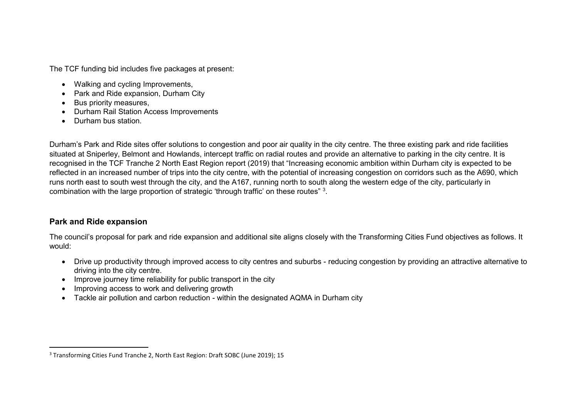The TCF funding bid includes five packages at present:

- Walking and cycling Improvements,
- Park and Ride expansion, Durham City
- Bus priority measures,
- Durham Rail Station Access Improvements
- Durham bus station.

Durham's Park and Ride sites offer solutions to congestion and poor air quality in the city centre. The three existing park and ride facilities situated at Sniperley, Belmont and Howlands, intercept traffic on radial routes and provide an alternative to parking in the city centre. It is recognised in the TCF Tranche 2 North East Region report (2019) that "Increasing economic ambition within Durham city is expected to be reflected in an increased number of trips into the city centre, with the potential of increasing congestion on corridors such as the A690, which runs north east to south west through the city, and the A167, running north to south along the western edge of the city, particularly in combination with the large proportion of strategic 'through traffic' on these routes"  $^3$ .

## **Park and Ride expansion**

 $\overline{a}$ 

The council's proposal for park and ride expansion and additional site aligns closely with the Transforming Cities Fund objectives as follows. It would:

- Drive up productivity through improved access to city centres and suburbs reducing congestion by providing an attractive alternative to driving into the city centre.
- Improve journey time reliability for public transport in the city
- Improving access to work and delivering growth
- Tackle air pollution and carbon reduction within the designated AQMA in Durham city

<sup>&</sup>lt;sup>3</sup> Transforming Cities Fund Tranche 2, North East Region: Draft SOBC (June 2019); 15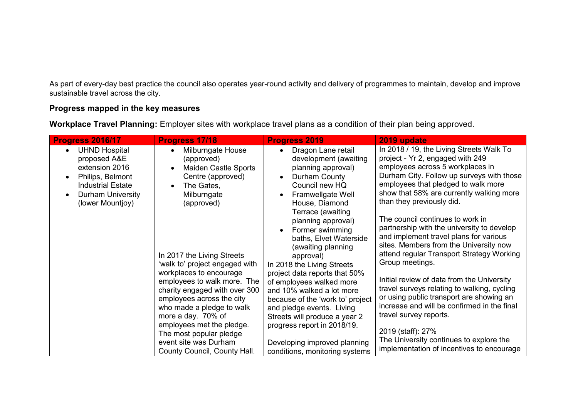As part of every-day best practice the council also operates year-round activity and delivery of programmes to maintain, develop and improve sustainable travel across the city.

## **Progress mapped in the key measures**

**Workplace Travel Planning:** Employer sites with workplace travel plans as a condition of their plan being approved.

| <b>Progress 2016/17</b>                                                                                                                                                                       | <b>Progress 17/18</b>                                                                                                                        | <b>Progress 2019</b>                                                                                                                                                                       | 2019 update                                                                                                                                                                                                                                                                   |
|-----------------------------------------------------------------------------------------------------------------------------------------------------------------------------------------------|----------------------------------------------------------------------------------------------------------------------------------------------|--------------------------------------------------------------------------------------------------------------------------------------------------------------------------------------------|-------------------------------------------------------------------------------------------------------------------------------------------------------------------------------------------------------------------------------------------------------------------------------|
| <b>UHND Hospital</b><br>$\bullet$<br>proposed A&E<br>extension 2016<br>Philips, Belmont<br>$\bullet$<br><b>Industrial Estate</b><br><b>Durham University</b><br>$\bullet$<br>(lower Mountjoy) | Milburngate House<br>(approved)<br><b>Maiden Castle Sports</b><br>Centre (approved)<br>The Gates,<br>Milburngate<br>(approved)               | Dragon Lane retail<br>$\bullet$<br>development (awaiting<br>planning approval)<br>Durham County<br>$\bullet$<br>Council new HQ<br>Framwellgate Well<br>House, Diamond<br>Terrace (awaiting | In 2018 / 19, the Living Streets Walk To<br>project - Yr 2, engaged with 249<br>employees across 5 workplaces in<br>Durham City. Follow up surveys with those<br>employees that pledged to walk more<br>show that 58% are currently walking more<br>than they previously did. |
|                                                                                                                                                                                               |                                                                                                                                              | planning approval)<br>Former swimming<br>baths, Elvet Waterside<br>(awaiting planning                                                                                                      | The council continues to work in<br>partnership with the university to develop<br>and implement travel plans for various<br>sites. Members from the University now<br>attend regular Transport Strategy Working                                                               |
|                                                                                                                                                                                               | In 2017 the Living Streets<br>'walk to' project engaged with<br>workplaces to encourage                                                      | approval)<br>In 2018 the Living Streets<br>project data reports that 50%                                                                                                                   | Group meetings.                                                                                                                                                                                                                                                               |
|                                                                                                                                                                                               | employees to walk more. The<br>charity engaged with over 300<br>employees across the city<br>who made a pledge to walk<br>more a day. 70% of | of employees walked more<br>and 10% walked a lot more<br>because of the 'work to' project<br>and pledge events. Living<br>Streets will produce a year 2                                    | Initial review of data from the University<br>travel surveys relating to walking, cycling<br>or using public transport are showing an<br>increase and will be confirmed in the final<br>travel survey reports.                                                                |
|                                                                                                                                                                                               | employees met the pledge.<br>The most popular pledge<br>event site was Durham<br>County Council, County Hall.                                | progress report in 2018/19.<br>Developing improved planning<br>conditions, monitoring systems                                                                                              | 2019 (staff): 27%<br>The University continues to explore the<br>implementation of incentives to encourage                                                                                                                                                                     |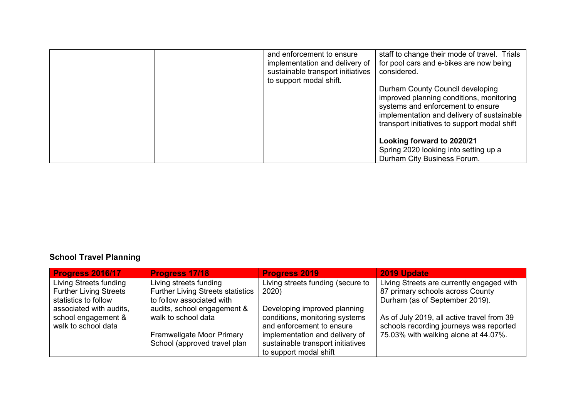|  | and enforcement to ensure<br>implementation and delivery of<br>sustainable transport initiatives<br>to support modal shift. | staff to change their mode of travel. Trials<br>for pool cars and e-bikes are now being<br>considered.                                                                                                          |
|--|-----------------------------------------------------------------------------------------------------------------------------|-----------------------------------------------------------------------------------------------------------------------------------------------------------------------------------------------------------------|
|  |                                                                                                                             | Durham County Council developing<br>improved planning conditions, monitoring<br>systems and enforcement to ensure<br>implementation and delivery of sustainable<br>transport initiatives to support modal shift |
|  |                                                                                                                             | Looking forward to 2020/21<br>Spring 2020 looking into setting up a<br>Durham City Business Forum.                                                                                                              |

# **School Travel Planning**

| <b>Progress 2016/17</b>       | <b>Progress 17/18</b>                    | <b>Progress 2019</b>              | 2019 Update                                |
|-------------------------------|------------------------------------------|-----------------------------------|--------------------------------------------|
| Living Streets funding        | Living streets funding                   | Living streets funding (secure to | Living Streets are currently engaged with  |
| <b>Further Living Streets</b> | <b>Further Living Streets statistics</b> | 2020)                             | 87 primary schools across County           |
| statistics to follow          | to follow associated with                |                                   | Durham (as of September 2019).             |
| associated with audits,       | audits, school engagement &              | Developing improved planning      |                                            |
| school engagement &           | walk to school data                      | conditions, monitoring systems    | As of July 2019, all active travel from 39 |
| walk to school data           |                                          | and enforcement to ensure         | schools recording journeys was reported    |
|                               | Framwellgate Moor Primary                | implementation and delivery of    | 75.03% with walking alone at 44.07%.       |
|                               | School (approved travel plan             | sustainable transport initiatives |                                            |
|                               |                                          | to support modal shift            |                                            |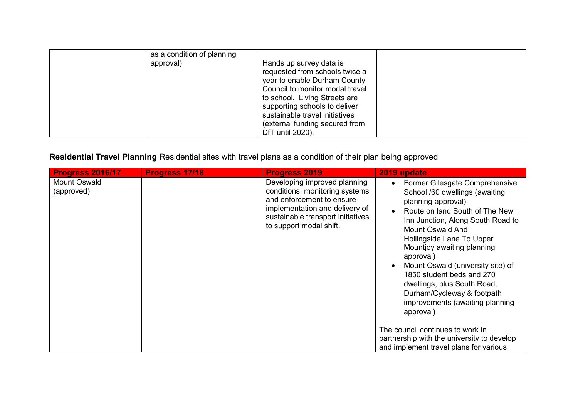| as a condition of planning<br>approval) | Hands up survey data is<br>requested from schools twice a<br>year to enable Durham County<br>Council to monitor modal travel<br>to school. Living Streets are<br>supporting schools to deliver<br>sustainable travel initiatives<br>(external funding secured from |  |
|-----------------------------------------|--------------------------------------------------------------------------------------------------------------------------------------------------------------------------------------------------------------------------------------------------------------------|--|
|                                         | DfT until 2020).                                                                                                                                                                                                                                                   |  |

# **Residential Travel Planning** Residential sites with travel plans as a condition of their plan being approved

| <b>Progress 2016/17</b>    | Progress 17/18 | <b>Progress 2019</b>                                                                                                                                                                          | 2019 update                                                                                                                                                                                                                                                                                                                                                                                                                                                                                                                 |
|----------------------------|----------------|-----------------------------------------------------------------------------------------------------------------------------------------------------------------------------------------------|-----------------------------------------------------------------------------------------------------------------------------------------------------------------------------------------------------------------------------------------------------------------------------------------------------------------------------------------------------------------------------------------------------------------------------------------------------------------------------------------------------------------------------|
| Mount Oswald<br>(approved) |                | Developing improved planning<br>conditions, monitoring systems<br>and enforcement to ensure<br>implementation and delivery of<br>sustainable transport initiatives<br>to support modal shift. | Former Gilesgate Comprehensive<br>School /60 dwellings (awaiting<br>planning approval)<br>Route on land South of The New<br>Inn Junction, Along South Road to<br>Mount Oswald And<br>Hollingside, Lane To Upper<br>Mountjoy awaiting planning<br>approval)<br>Mount Oswald (university site) of<br>1850 student beds and 270<br>dwellings, plus South Road,<br>Durham/Cycleway & footpath<br>improvements (awaiting planning<br>approval)<br>The council continues to work in<br>partnership with the university to develop |
|                            |                |                                                                                                                                                                                               | and implement travel plans for various                                                                                                                                                                                                                                                                                                                                                                                                                                                                                      |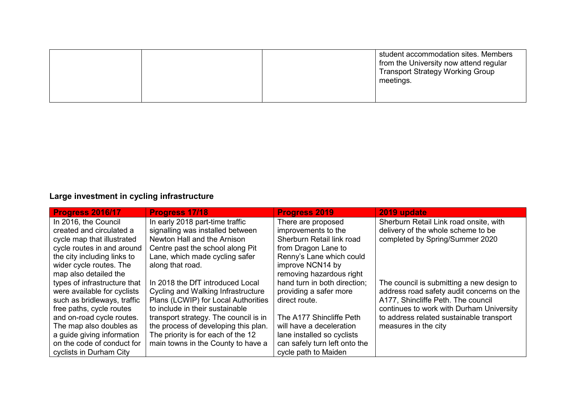|  | student accommodation sites. Members<br>from the University now attend regular<br><b>Transport Strategy Working Group</b><br>meetings. |
|--|----------------------------------------------------------------------------------------------------------------------------------------|
|  |                                                                                                                                        |

# **Large investment in cycling infrastructure**

| <b>Progress 2016/17</b>      | <b>Progress 17/18</b>                 | <b>Progress 2019</b>          | 2019 update                               |
|------------------------------|---------------------------------------|-------------------------------|-------------------------------------------|
| In 2016, the Council         | In early 2018 part-time traffic       | There are proposed            | Sherburn Retail Link road onsite, with    |
| created and circulated a     | signalling was installed between      | improvements to the           | delivery of the whole scheme to be        |
| cycle map that illustrated   | Newton Hall and the Arnison           | Sherburn Retail link road     | completed by Spring/Summer 2020           |
| cycle routes in and around   | Centre past the school along Pit      | from Dragon Lane to           |                                           |
| the city including links to  | Lane, which made cycling safer        | Renny's Lane which could      |                                           |
| wider cycle routes. The      | along that road.                      | improve NCN14 by              |                                           |
| map also detailed the        |                                       | removing hazardous right      |                                           |
| types of infrastructure that | In 2018 the DfT introduced Local      | hand turn in both direction;  | The council is submitting a new design to |
| were available for cyclists  | Cycling and Walking Infrastructure    | providing a safer more        | address road safety audit concerns on the |
| such as bridleways, traffic  | Plans (LCWIP) for Local Authorities   | direct route.                 | A177, Shincliffe Peth. The council        |
| free paths, cycle routes     | to include in their sustainable       |                               | continues to work with Durham University  |
| and on-road cycle routes.    | transport strategy. The council is in | The A177 Shincliffe Peth      | to address related sustainable transport  |
| The map also doubles as      | the process of developing this plan.  | will have a deceleration      | measures in the city                      |
| a guide giving information   | The priority is for each of the 12    | lane installed so cyclists    |                                           |
| on the code of conduct for   | main towns in the County to have a    | can safely turn left onto the |                                           |
| cyclists in Durham City      |                                       | cycle path to Maiden          |                                           |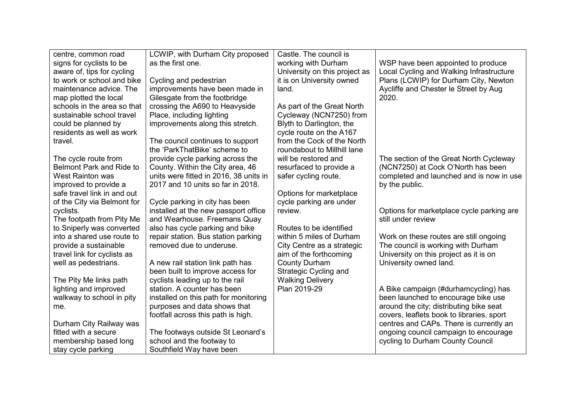| centre, common road             | LCWIP, with Durham City proposed       | Castle. The council is        |                                           |
|---------------------------------|----------------------------------------|-------------------------------|-------------------------------------------|
| signs for cyclists to be        | as the first one.                      | working with Durham           | WSP have been appointed to produce        |
| aware of, tips for cycling      |                                        | University on this project as | Local Cycling and Walking Infrastructure  |
| to work or school and bike      | Cycling and pedestrian                 | it is on University owned     | Plans (LCWIP) for Durham City, Newton     |
| maintenance advice. The         | improvements have been made in         | land.                         | Aycliffe and Chester le Street by Aug     |
| map plotted the local           | Gilesgate from the footbridge          |                               | 2020.                                     |
| schools in the area so that     | crossing the A690 to Heavyside         | As part of the Great North    |                                           |
| sustainable school travel       | Place, including lighting              | Cycleway (NCN7250) from       |                                           |
| could be planned by             | improvements along this stretch.       | Blyth to Darlington, the      |                                           |
| residents as well as work       |                                        | cycle route on the A167       |                                           |
| travel.                         | The council continues to support       | from the Cock of the North    |                                           |
|                                 | the 'ParkThatBike' scheme to           | roundabout to Millhill lane   |                                           |
| The cycle route from            | provide cycle parking across the       | will be restored and          | The section of the Great North Cycleway   |
| <b>Belmont Park and Ride to</b> | County. Within the City area, 46       | resurfaced to provide a       | (NCN7250) at Cock O'North has been        |
| <b>West Rainton was</b>         | units were fitted in 2016, 38 units in | safer cycling route.          | completed and launched and is now in use  |
| improved to provide a           | 2017 and 10 units so far in 2018.      |                               | by the public.                            |
| safe travel link in and out     |                                        | Options for marketplace       |                                           |
| of the City via Belmont for     | Cycle parking in city has been         | cycle parking are under       |                                           |
| cyclists.                       | installed at the new passport office   | review.                       | Options for marketplace cycle parking are |
| The footpath from Pity Me       | and Wearhouse. Freemans Quay           |                               | still under review                        |
| to Sniperly was converted       | also has cycle parking and bike        | Routes to be identified       |                                           |
| into a shared use route to      | repair station. Bus station parking    | within 5 miles of Durham      | Work on these routes are still ongoing    |
| provide a sustainable           | removed due to underuse.               | City Centre as a strategic    | The council is working with Durham        |
| travel link for cyclists as     |                                        | aim of the forthcoming        | University on this project as it is on    |
| well as pedestrians.            | A new rail station link path has       | <b>County Durham</b>          | University owned land.                    |
|                                 | been built to improve access for       | Strategic Cycling and         |                                           |
| The Pity Me links path          | cyclists leading up to the rail        | <b>Walking Delivery</b>       |                                           |
| lighting and improved           | station. A counter has been            | Plan 2019-29                  | A Bike campaign (#durhamcycling) has      |
| walkway to school in pity       | installed on this path for monitoring  |                               | been launched to encourage bike use       |
| me.                             | purposes and data shows that           |                               | around the city; distributing bike seat   |
|                                 | footfall across this path is high.     |                               | covers, leaflets book to libraries, sport |
| Durham City Railway was         |                                        |                               | centres and CAPs. There is currently an   |
| fitted with a secure            | The footways outside St Leonard's      |                               | ongoing council campaign to encourage     |
| membership based long           | school and the footway to              |                               | cycling to Durham County Council          |
| stay cycle parking              | Southfield Way have been               |                               |                                           |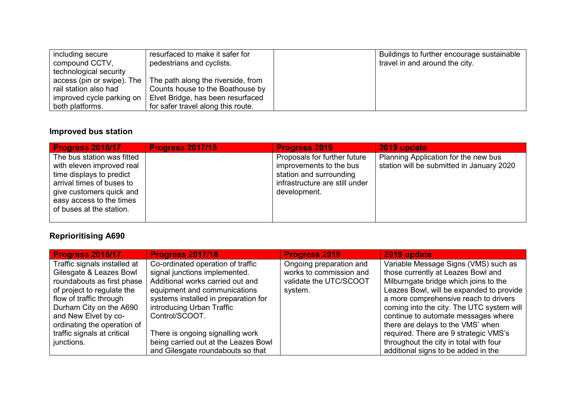| including secure          | resurfaced to make it safer for                                 | Buildings to further encourage sustainable |
|---------------------------|-----------------------------------------------------------------|--------------------------------------------|
| compound CCTV,            | pedestrians and cyclists.                                       | travel in and around the city.             |
| technological security    |                                                                 |                                            |
|                           | access (pin or swipe). The   The path along the riverside, from |                                            |
| rail station also had     | Counts house to the Boathouse by                                |                                            |
| improved cycle parking on | Elvet Bridge, has been resurfaced                               |                                            |
| both platforms.           | for safer travel along this route.                              |                                            |

## **Improved bus station**

| Progress 2016/17                                                                                                                                                                                     | <b>Progress 2017/18</b> | <b>Progress 2019</b>                                                                                                                 | 2019 update                                                                       |
|------------------------------------------------------------------------------------------------------------------------------------------------------------------------------------------------------|-------------------------|--------------------------------------------------------------------------------------------------------------------------------------|-----------------------------------------------------------------------------------|
| The bus station was fitted<br>with eleven improved real<br>time displays to predict<br>arrival times of buses to<br>give customers quick and<br>easy access to the times<br>of buses at the station. |                         | Proposals for further future<br>improvements to the bus<br>station and surrounding<br>infrastructure are still under<br>development. | Planning Application for the new bus<br>station will be submitted in January 2020 |
|                                                                                                                                                                                                      |                         |                                                                                                                                      |                                                                                   |

# **Reprioritising A690**

| <b>Progress 2016/17</b>      | <b>Progress 2017/18</b>              | <b>Progress 2019</b>    | 2019 update                               |
|------------------------------|--------------------------------------|-------------------------|-------------------------------------------|
| Traffic signals installed at | Co-ordinated operation of traffic    | Ongoing preparation and | Variable Message Signs (VMS) such as      |
| Gilesgate & Leazes Bowl      | signal junctions implemented.        | works to commission and | those currently at Leazes Bowl and        |
| roundabouts as first phase   | Additional works carried out and     | validate the UTC/SCOOT  | Milburngate bridge which joins to the     |
| of project to regulate the   | equipment and communications         | system.                 | Leazes Bowl, will be expanded to provide  |
| flow of traffic through      | systems installed in preparation for |                         | a more comprehensive reach to drivers     |
| Durham City on the A690      | introducing Urban Traffic            |                         | coming into the city. The UTC system will |
| and New Elvet by co-         | Control/SCOOT.                       |                         | continue to automate messages where       |
| ordinating the operation of  |                                      |                         | there are delays to the VMS' when         |
| traffic signals at critical  | There is ongoing signalling work     |                         | required. There are 9 strategic VMS's     |
| junctions.                   | being carried out at the Leazes Bowl |                         | throughout the city in total with four    |
|                              | and Gilesgate roundabouts so that    |                         | additional signs to be added in the       |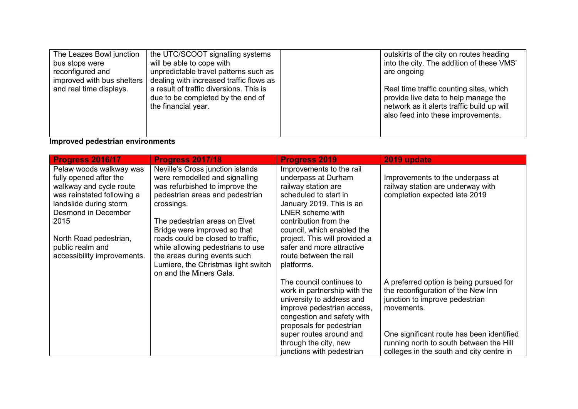| The Leazes Bowl junction<br>bus stops were<br>reconfigured and<br>improved with bus shelters | the UTC/SCOOT signalling systems<br>will be able to cope with<br>unpredictable travel patterns such as<br>dealing with increased traffic flows as<br>a result of traffic diversions. This is | outskirts of the city on routes heading<br>into the city. The addition of these VMS'<br>are ongoing                           |
|----------------------------------------------------------------------------------------------|----------------------------------------------------------------------------------------------------------------------------------------------------------------------------------------------|-------------------------------------------------------------------------------------------------------------------------------|
| and real time displays.                                                                      | due to be completed by the end of<br>the financial year.                                                                                                                                     | Real time traffic counting sites, which<br>provide live data to help manage the<br>network as it alerts traffic build up will |
|                                                                                              |                                                                                                                                                                                              | also feed into these improvements.                                                                                            |

#### **Improved pedestrian environments**

| Progress 2016/17                                                                                                                                                                                                                                 | <b>Progress 2017/18</b>                                                                                                                                                                                                                                                                                                          | <b>Progress 2019</b>                                                                                                                                                                                                                                                                           | 2019 update                                                                                                                                                                                                                                                       |
|--------------------------------------------------------------------------------------------------------------------------------------------------------------------------------------------------------------------------------------------------|----------------------------------------------------------------------------------------------------------------------------------------------------------------------------------------------------------------------------------------------------------------------------------------------------------------------------------|------------------------------------------------------------------------------------------------------------------------------------------------------------------------------------------------------------------------------------------------------------------------------------------------|-------------------------------------------------------------------------------------------------------------------------------------------------------------------------------------------------------------------------------------------------------------------|
| Pelaw woods walkway was<br>fully opened after the<br>walkway and cycle route<br>was reinstated following a<br>landslide during storm<br>Desmond in December<br>2015<br>North Road pedestrian,<br>public realm and<br>accessibility improvements. | Neville's Cross junction islands<br>were remodelled and signalling<br>was refurbished to improve the<br>pedestrian areas and pedestrian<br>crossings.<br>The pedestrian areas on Elvet<br>Bridge were improved so that<br>roads could be closed to traffic,<br>while allowing pedestrians to use<br>the areas during events such | Improvements to the rail<br>underpass at Durham<br>railway station are<br>scheduled to start in<br>January 2019. This is an<br>LNER scheme with<br>contribution from the<br>council, which enabled the<br>project. This will provided a<br>safer and more attractive<br>route between the rail | Improvements to the underpass at<br>railway station are underway with<br>completion expected late 2019                                                                                                                                                            |
|                                                                                                                                                                                                                                                  | Lumiere, the Christmas light switch<br>on and the Miners Gala.                                                                                                                                                                                                                                                                   | platforms.<br>The council continues to<br>work in partnership with the<br>university to address and<br>improve pedestrian access,<br>congestion and safety with<br>proposals for pedestrian<br>super routes around and<br>through the city, new<br>junctions with pedestrian                   | A preferred option is being pursued for<br>the reconfiguration of the New Inn<br>junction to improve pedestrian<br>movements.<br>One significant route has been identified<br>running north to south between the Hill<br>colleges in the south and city centre in |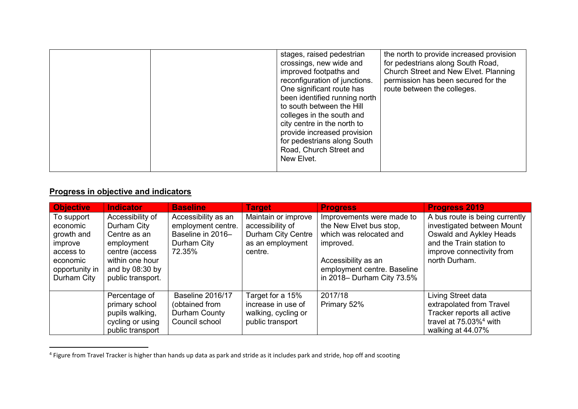| New Elvet. | stages, raised pedestrian<br>crossings, new wide and<br>improved footpaths and<br>reconfiguration of junctions.<br>One significant route has<br>been identified running north<br>to south between the Hill<br>colleges in the south and<br>city centre in the north to<br>provide increased provision<br>for pedestrians along South<br>Road, Church Street and | the north to provide increased provision<br>for pedestrians along South Road,<br>Church Street and New Elvet. Planning<br>permission has been secured for the<br>route between the colleges. |
|------------|-----------------------------------------------------------------------------------------------------------------------------------------------------------------------------------------------------------------------------------------------------------------------------------------------------------------------------------------------------------------|----------------------------------------------------------------------------------------------------------------------------------------------------------------------------------------------|
|------------|-----------------------------------------------------------------------------------------------------------------------------------------------------------------------------------------------------------------------------------------------------------------------------------------------------------------------------------------------------------------|----------------------------------------------------------------------------------------------------------------------------------------------------------------------------------------------|

## **Progress in objective and indicators**

| <b>Objective</b>                                                                                          | <b>Indicator</b>                                                                                                                             | <b>Baseline</b>                                                                         | <b>Target</b>                                                                                | <b>Progress</b>                                                                                                                                                                  | <b>Progress 2019</b>                                                                                                                                              |
|-----------------------------------------------------------------------------------------------------------|----------------------------------------------------------------------------------------------------------------------------------------------|-----------------------------------------------------------------------------------------|----------------------------------------------------------------------------------------------|----------------------------------------------------------------------------------------------------------------------------------------------------------------------------------|-------------------------------------------------------------------------------------------------------------------------------------------------------------------|
| To support<br>economic<br>growth and<br>improve<br>access to<br>economic<br>opportunity in<br>Durham City | Accessibility of<br>Durham City<br>Centre as an<br>employment<br>centre (access<br>within one hour<br>and by $08:30$ by<br>public transport. | Accessibility as an<br>employment centre.<br>Baseline in 2016-<br>Durham City<br>72.35% | Maintain or improve<br>accessibility of<br>Durham City Centre<br>as an employment<br>centre. | Improvements were made to<br>the New Elvet bus stop,<br>which was relocated and<br>improved.<br>Accessibility as an<br>employment centre. Baseline<br>in 2018– Durham City 73.5% | A bus route is being currently<br>investigated between Mount<br>Oswald and Aykley Heads<br>and the Train station to<br>improve connectivity from<br>north Durham. |
|                                                                                                           | Percentage of<br>primary school<br>pupils walking,<br>cycling or using<br>public transport                                                   | Baseline 2016/17<br>(obtained from<br>Durham County<br>Council school                   | Target for a 15%<br>increase in use of<br>walking, cycling or<br>public transport            | 2017/18<br>Primary 52%                                                                                                                                                           | Living Street data<br>extrapolated from Travel<br>Tracker reports all active<br>travel at $75.03\%$ <sup>4</sup> with<br>walking at 44.07%                        |

 4 Figure from Travel Tracker is higher than hands up data as park and stride as it includes park and stride, hop off and scooting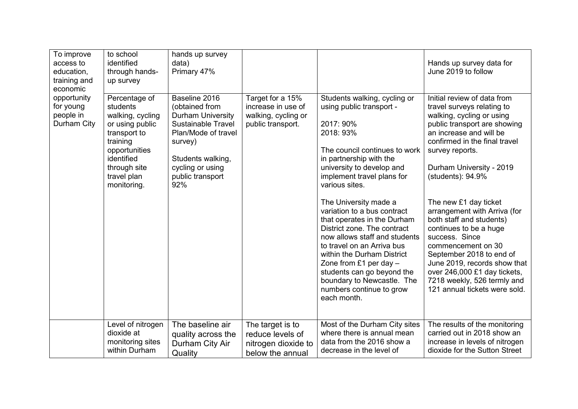| To improve<br>access to<br>education,<br>training and<br>economic | to school<br>identified<br>through hands-<br>up survey                                                                                                                    | hands up survey<br>data)<br>Primary 47%                                                                                                                                                        |                                                                                    |                                                                                                                                                                                                                                                                                                                                                                                                                                                                                                                                                                                   | Hands up survey data for<br>June 2019 to follow                                                                                                                                                                                                                                                                                                                                                                                                                                                                                                                           |
|-------------------------------------------------------------------|---------------------------------------------------------------------------------------------------------------------------------------------------------------------------|------------------------------------------------------------------------------------------------------------------------------------------------------------------------------------------------|------------------------------------------------------------------------------------|-----------------------------------------------------------------------------------------------------------------------------------------------------------------------------------------------------------------------------------------------------------------------------------------------------------------------------------------------------------------------------------------------------------------------------------------------------------------------------------------------------------------------------------------------------------------------------------|---------------------------------------------------------------------------------------------------------------------------------------------------------------------------------------------------------------------------------------------------------------------------------------------------------------------------------------------------------------------------------------------------------------------------------------------------------------------------------------------------------------------------------------------------------------------------|
| opportunity<br>for young<br>people in<br>Durham City              | Percentage of<br>students<br>walking, cycling<br>or using public<br>transport to<br>training<br>opportunities<br>identified<br>through site<br>travel plan<br>monitoring. | Baseline 2016<br>(obtained from<br><b>Durham University</b><br><b>Sustainable Travel</b><br>Plan/Mode of travel<br>survey)<br>Students walking,<br>cycling or using<br>public transport<br>92% | Target for a 15%<br>increase in use of<br>walking, cycling or<br>public transport. | Students walking, cycling or<br>using public transport -<br>2017: 90%<br>2018: 93%<br>The council continues to work<br>in partnership with the<br>university to develop and<br>implement travel plans for<br>various sites.<br>The University made a<br>variation to a bus contract<br>that operates in the Durham<br>District zone. The contract<br>now allows staff and students<br>to travel on an Arriva bus<br>within the Durham District<br>Zone from £1 per day $-$<br>students can go beyond the<br>boundary to Newcastle. The<br>numbers continue to grow<br>each month. | Initial review of data from<br>travel surveys relating to<br>walking, cycling or using<br>public transport are showing<br>an increase and will be<br>confirmed in the final travel<br>survey reports.<br>Durham University - 2019<br>(students): 94.9%<br>The new £1 day ticket<br>arrangement with Arriva (for<br>both staff and students)<br>continues to be a huge<br>success. Since<br>commencement on 30<br>September 2018 to end of<br>June 2019, records show that<br>over 246,000 £1 day tickets,<br>7218 weekly, 526 termly and<br>121 annual tickets were sold. |
|                                                                   | Level of nitrogen<br>dioxide at<br>monitoring sites<br>within Durham                                                                                                      | The baseline air<br>quality across the<br>Durham City Air<br>Quality                                                                                                                           | The target is to<br>reduce levels of<br>nitrogen dioxide to<br>below the annual    | Most of the Durham City sites<br>where there is annual mean<br>data from the 2016 show a<br>decrease in the level of                                                                                                                                                                                                                                                                                                                                                                                                                                                              | The results of the monitoring<br>carried out in 2018 show an<br>increase in levels of nitrogen<br>dioxide for the Sutton Street                                                                                                                                                                                                                                                                                                                                                                                                                                           |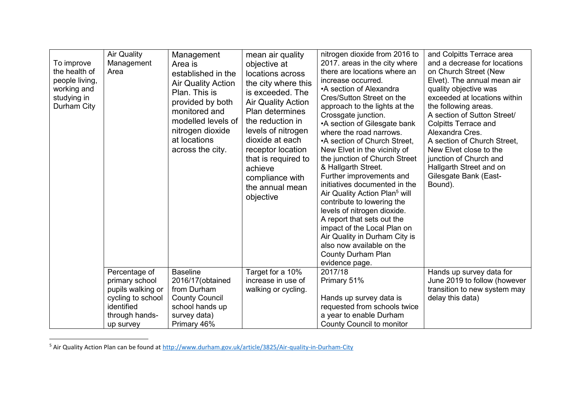| <b>Air Quality</b><br>To improve<br>the health of<br>Area<br>people living,<br>working and<br>studying in<br>Durham City | Management<br>Management<br>Area is<br>established in the<br><b>Air Quality Action</b><br>Plan. This is<br>provided by both<br>monitored and<br>modelled levels of<br>nitrogen dioxide<br>at locations<br>across the city.   | mean air quality<br>objective at<br>locations across<br>the city where this<br>is exceeded. The<br><b>Air Quality Action</b><br>Plan determines<br>the reduction in<br>levels of nitrogen<br>dioxide at each<br>receptor location<br>that is required to<br>achieve<br>compliance with<br>the annual mean<br>objective | nitrogen dioxide from 2016 to<br>2017. areas in the city where<br>there are locations where an<br>increase occurred.<br>•A section of Alexandra<br>Cres/Sutton Street on the<br>approach to the lights at the<br>Crossgate junction.<br>•A section of Gilesgate bank<br>where the road narrows.<br>•A section of Church Street,<br>New Elvet in the vicinity of<br>the junction of Church Street<br>& Hallgarth Street.<br>Further improvements and<br>initiatives documented in the<br>Air Quality Action Plan <sup>5</sup> will<br>contribute to lowering the<br>levels of nitrogen dioxide.<br>A report that sets out the<br>impact of the Local Plan on<br>Air Quality in Durham City is<br>also now available on the<br>County Durham Plan<br>evidence page. | and Colpitts Terrace area<br>and a decrease for locations<br>on Church Street (New<br>Elvet). The annual mean air<br>quality objective was<br>exceeded at locations within<br>the following areas.<br>A section of Sutton Street/<br><b>Colpitts Terrace and</b><br>Alexandra Cres.<br>A section of Church Street,<br>New Elvet close to the<br>junction of Church and<br>Hallgarth Street and on<br>Gilesgate Bank (East-<br>Bound). |
|--------------------------------------------------------------------------------------------------------------------------|------------------------------------------------------------------------------------------------------------------------------------------------------------------------------------------------------------------------------|------------------------------------------------------------------------------------------------------------------------------------------------------------------------------------------------------------------------------------------------------------------------------------------------------------------------|-------------------------------------------------------------------------------------------------------------------------------------------------------------------------------------------------------------------------------------------------------------------------------------------------------------------------------------------------------------------------------------------------------------------------------------------------------------------------------------------------------------------------------------------------------------------------------------------------------------------------------------------------------------------------------------------------------------------------------------------------------------------|---------------------------------------------------------------------------------------------------------------------------------------------------------------------------------------------------------------------------------------------------------------------------------------------------------------------------------------------------------------------------------------------------------------------------------------|
| identified<br>up survey                                                                                                  | Percentage of<br><b>Baseline</b><br>primary school<br>2016/17(obtained<br>from Durham<br>pupils walking or<br><b>County Council</b><br>cycling to school<br>school hands up<br>through hands-<br>survey data)<br>Primary 46% | Target for a 10%<br>increase in use of<br>walking or cycling.                                                                                                                                                                                                                                                          | 2017/18<br>Primary 51%<br>Hands up survey data is<br>requested from schools twice<br>a year to enable Durham<br>County Council to monitor                                                                                                                                                                                                                                                                                                                                                                                                                                                                                                                                                                                                                         | Hands up survey data for<br>June 2019 to follow (however<br>transition to new system may<br>delay this data)                                                                                                                                                                                                                                                                                                                          |

<sup>&</sup>lt;sup>5</sup> Air Quality Action Plan can be found at<http://www.durham.gov.uk/article/3825/Air-quality-in-Durham-City>

 $\overline{\phantom{a}}$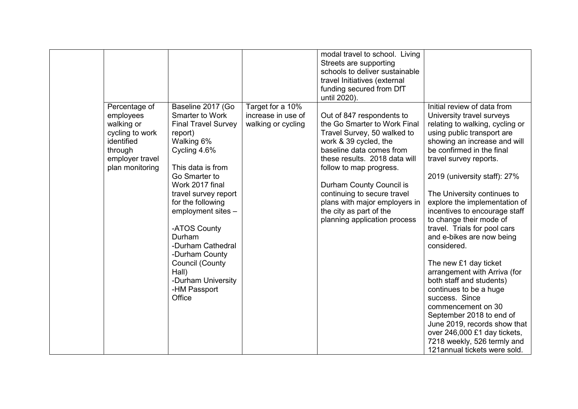|  | Percentage of<br>employees<br>walking or<br>cycling to work<br>identified<br>through<br>employer travel<br>plan monitoring | Baseline 2017 (Go<br>Smarter to Work<br><b>Final Travel Survey</b><br>report)<br>Walking 6%<br>Cycling 4.6%<br>This data is from<br>Go Smarter to<br>Work 2017 final<br>travel survey report<br>for the following<br>employment sites -<br>-ATOS County<br>Durham<br>-Durham Cathedral<br>-Durham County<br><b>Council (County</b><br>Hall)<br>-Durham University<br>-HM Passport<br>Office | Target for a 10%<br>increase in use of<br>walking or cycling | modal travel to school. Living<br>Streets are supporting<br>schools to deliver sustainable<br>travel Initiatives (external<br>funding secured from DfT<br>until 2020).<br>Out of 847 respondents to<br>the Go Smarter to Work Final<br>Travel Survey, 50 walked to<br>work & 39 cycled, the<br>baseline data comes from<br>these results. 2018 data will<br>follow to map progress.<br>Durham County Council is<br>continuing to secure travel<br>plans with major employers in<br>the city as part of the<br>planning application process | Initial review of data from<br>University travel surveys<br>relating to walking, cycling or<br>using public transport are<br>showing an increase and will<br>be confirmed in the final<br>travel survey reports.<br>2019 (university staff): 27%<br>The University continues to<br>explore the implementation of<br>incentives to encourage staff<br>to change their mode of<br>travel. Trials for pool cars<br>and e-bikes are now being<br>considered.<br>The new £1 day ticket<br>arrangement with Arriva (for<br>both staff and students)<br>continues to be a huge<br>success. Since |
|--|----------------------------------------------------------------------------------------------------------------------------|---------------------------------------------------------------------------------------------------------------------------------------------------------------------------------------------------------------------------------------------------------------------------------------------------------------------------------------------------------------------------------------------|--------------------------------------------------------------|--------------------------------------------------------------------------------------------------------------------------------------------------------------------------------------------------------------------------------------------------------------------------------------------------------------------------------------------------------------------------------------------------------------------------------------------------------------------------------------------------------------------------------------------|-------------------------------------------------------------------------------------------------------------------------------------------------------------------------------------------------------------------------------------------------------------------------------------------------------------------------------------------------------------------------------------------------------------------------------------------------------------------------------------------------------------------------------------------------------------------------------------------|
|--|----------------------------------------------------------------------------------------------------------------------------|---------------------------------------------------------------------------------------------------------------------------------------------------------------------------------------------------------------------------------------------------------------------------------------------------------------------------------------------------------------------------------------------|--------------------------------------------------------------|--------------------------------------------------------------------------------------------------------------------------------------------------------------------------------------------------------------------------------------------------------------------------------------------------------------------------------------------------------------------------------------------------------------------------------------------------------------------------------------------------------------------------------------------|-------------------------------------------------------------------------------------------------------------------------------------------------------------------------------------------------------------------------------------------------------------------------------------------------------------------------------------------------------------------------------------------------------------------------------------------------------------------------------------------------------------------------------------------------------------------------------------------|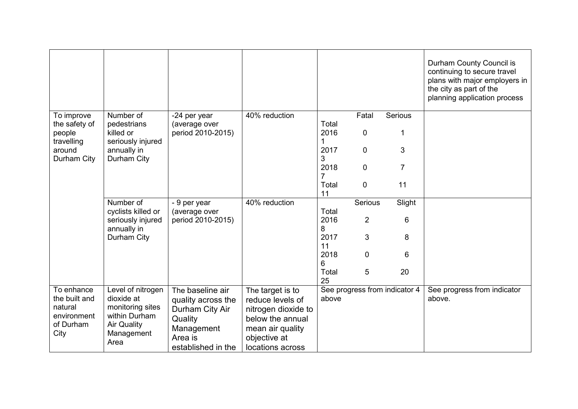|                             |                                     |                               |                     |             |                |                               | Durham County Council is<br>continuing to secure travel<br>plans with major employers in<br>the city as part of the<br>planning application process |
|-----------------------------|-------------------------------------|-------------------------------|---------------------|-------------|----------------|-------------------------------|-----------------------------------------------------------------------------------------------------------------------------------------------------|
| To improve<br>the safety of | Number of<br>pedestrians            | -24 per year<br>(average over | 40% reduction       | Total       | Fatal          | Serious                       |                                                                                                                                                     |
| people<br>travelling        | killed or<br>seriously injured      | period 2010-2015)             |                     | 2016        | 0              | 1                             |                                                                                                                                                     |
| around<br>Durham City       | annually in<br>Durham City          |                               |                     | 2017<br>3   | 0              | 3                             |                                                                                                                                                     |
|                             |                                     |                               |                     | 2018        | 0              | $\overline{7}$                |                                                                                                                                                     |
|                             |                                     |                               |                     | Total<br>11 | $\mathbf 0$    | 11                            |                                                                                                                                                     |
|                             | Number of<br>cyclists killed or     | - 9 per year<br>(average over | 40% reduction       | Total       | Serious        | Slight                        |                                                                                                                                                     |
|                             | seriously injured<br>annually in    | period 2010-2015)             |                     | 2016<br>8   | $\overline{2}$ | 6                             |                                                                                                                                                     |
|                             | Durham City                         |                               |                     | 2017<br>11  | 3              | 8                             |                                                                                                                                                     |
|                             |                                     |                               |                     | 2018<br>6   | 0              | 6                             |                                                                                                                                                     |
|                             |                                     |                               |                     | Total<br>25 | 5              | 20                            |                                                                                                                                                     |
| To enhance                  | Level of nitrogen                   | The baseline air              | The target is to    |             |                | See progress from indicator 4 | See progress from indicator                                                                                                                         |
| the built and               | dioxide at                          | quality across the            | reduce levels of    | above       |                |                               | above.                                                                                                                                              |
| natural                     | monitoring sites                    | Durham City Air               | nitrogen dioxide to |             |                |                               |                                                                                                                                                     |
| environment<br>of Durham    | within Durham<br><b>Air Quality</b> | Quality                       | below the annual    |             |                |                               |                                                                                                                                                     |
| City                        | Management                          | Management                    | mean air quality    |             |                |                               |                                                                                                                                                     |
|                             | Area                                | Area is                       | objective at        |             |                |                               |                                                                                                                                                     |
|                             |                                     | established in the            | locations across    |             |                |                               |                                                                                                                                                     |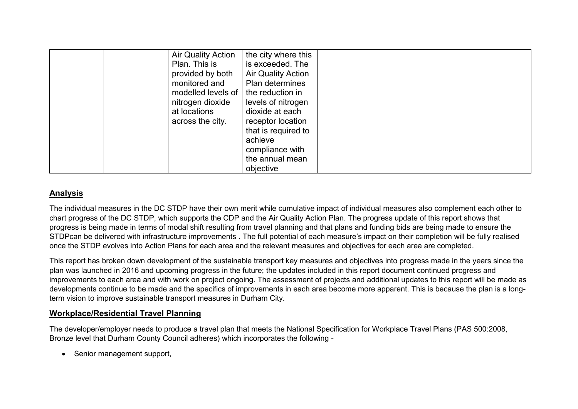| <b>Air Quality Action</b><br>Plan. This is<br>provided by both<br>monitored and<br>modelled levels of  <br>nitrogen dioxide<br>at locations<br>across the city. | the city where this<br>is exceeded. The<br><b>Air Quality Action</b><br>Plan determines<br>the reduction in<br>levels of nitrogen<br>dioxide at each<br>receptor location |  |
|-----------------------------------------------------------------------------------------------------------------------------------------------------------------|---------------------------------------------------------------------------------------------------------------------------------------------------------------------------|--|
|                                                                                                                                                                 |                                                                                                                                                                           |  |
|                                                                                                                                                                 |                                                                                                                                                                           |  |
|                                                                                                                                                                 |                                                                                                                                                                           |  |
|                                                                                                                                                                 |                                                                                                                                                                           |  |
|                                                                                                                                                                 | that is required to                                                                                                                                                       |  |
|                                                                                                                                                                 | achieve                                                                                                                                                                   |  |
|                                                                                                                                                                 | compliance with                                                                                                                                                           |  |
|                                                                                                                                                                 | the annual mean                                                                                                                                                           |  |
|                                                                                                                                                                 | objective                                                                                                                                                                 |  |

## **Analysis**

The individual measures in the DC STDP have their own merit while cumulative impact of individual measures also complement each other to chart progress of the DC STDP, which supports the CDP and the Air Quality Action Plan. The progress update of this report shows that progress is being made in terms of modal shift resulting from travel planning and that plans and funding bids are being made to ensure the STDPcan be delivered with infrastructure improvements . The full potential of each measure's impact on their completion will be fully realised once the STDP evolves into Action Plans for each area and the relevant measures and objectives for each area are completed.

This report has broken down development of the sustainable transport key measures and objectives into progress made in the years since the plan was launched in 2016 and upcoming progress in the future; the updates included in this report document continued progress and improvements to each area and with work on project ongoing. The assessment of projects and additional updates to this report will be made as developments continue to be made and the specifics of improvements in each area become more apparent. This is because the plan is a longterm vision to improve sustainable transport measures in Durham City.

## **Workplace/Residential Travel Planning**

The developer/employer needs to produce a travel plan that meets the National Specification for Workplace Travel Plans (PAS 500:2008, Bronze level that Durham County Council adheres) which incorporates the following -

• Senior management support,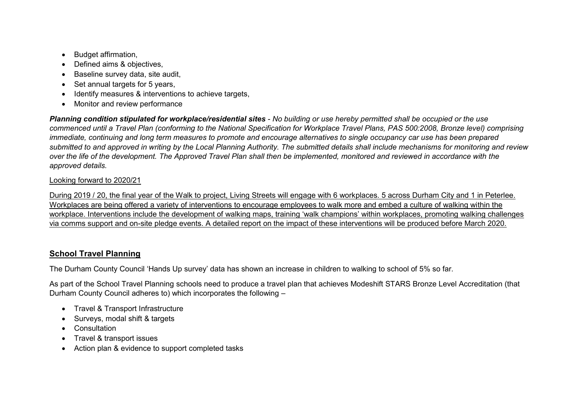- Budget affirmation,
- Defined aims & objectives,
- Baseline survey data, site audit,
- Set annual targets for 5 years,
- Identify measures & interventions to achieve targets,
- Monitor and review performance

*Planning condition stipulated for workplace/residential sites - No building or use hereby permitted shall be occupied or the use commenced until a Travel Plan (conforming to the National Specification for Workplace Travel Plans, PAS 500:2008, Bronze level) comprising immediate, continuing and long term measures to promote and encourage alternatives to single occupancy car use has been prepared submitted to and approved in writing by the Local Planning Authority. The submitted details shall include mechanisms for monitoring and review over the life of the development. The Approved Travel Plan shall then be implemented, monitored and reviewed in accordance with the approved details.*

### Looking forward to 2020/21

During 2019 / 20, the final year of the Walk to project, Living Streets will engage with 6 workplaces. 5 across Durham City and 1 in Peterlee. Workplaces are being offered a variety of interventions to encourage employees to walk more and embed a culture of walking within the workplace. Interventions include the development of walking maps, training 'walk champions' within workplaces, promoting walking challenges via comms support and on-site pledge events. A detailed report on the impact of these interventions will be produced before March 2020.

## **School Travel Planning**

The Durham County Council 'Hands Up survey' data has shown an increase in children to walking to school of 5% so far.

As part of the School Travel Planning schools need to produce a travel plan that achieves Modeshift STARS Bronze Level Accreditation (that Durham County Council adheres to) which incorporates the following –

- Travel & Transport Infrastructure
- Surveys, modal shift & targets
- Consultation
- Travel & transport issues
- Action plan & evidence to support completed tasks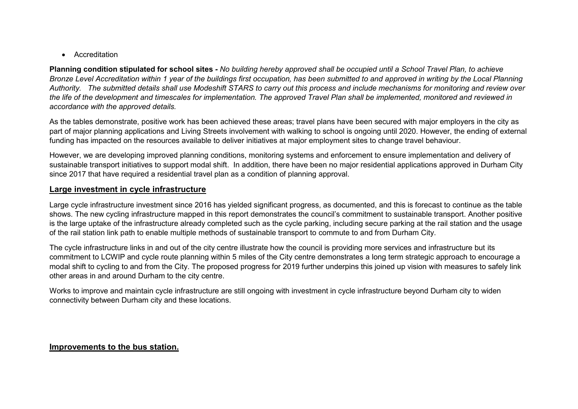• Accreditation

**Planning condition stipulated for school sites** *- No building hereby approved shall be occupied until a School Travel Plan, to achieve Bronze Level Accreditation within 1 year of the buildings first occupation, has been submitted to and approved in writing by the Local Planning Authority. The submitted details shall use Modeshift STARS to carry out this process and include mechanisms for monitoring and review over the life of the development and timescales for implementation. The approved Travel Plan shall be implemented, monitored and reviewed in accordance with the approved details.*

As the tables demonstrate, positive work has been achieved these areas; travel plans have been secured with major employers in the city as part of major planning applications and Living Streets involvement with walking to school is ongoing until 2020. However, the ending of external funding has impacted on the resources available to deliver initiatives at major employment sites to change travel behaviour.

However, we are developing improved planning conditions, monitoring systems and enforcement to ensure implementation and delivery of sustainable transport initiatives to support modal shift. In addition, there have been no major residential applications approved in Durham City since 2017 that have required a residential travel plan as a condition of planning approval.

### **Large investment in cycle infrastructure**

Large cycle infrastructure investment since 2016 has yielded significant progress, as documented, and this is forecast to continue as the table shows. The new cycling infrastructure mapped in this report demonstrates the council's commitment to sustainable transport. Another positive is the large uptake of the infrastructure already completed such as the cycle parking, including secure parking at the rail station and the usage of the rail station link path to enable multiple methods of sustainable transport to commute to and from Durham City.

The cycle infrastructure links in and out of the city centre illustrate how the council is providing more services and infrastructure but its commitment to LCWIP and cycle route planning within 5 miles of the City centre demonstrates a long term strategic approach to encourage a modal shift to cycling to and from the City. The proposed progress for 2019 further underpins this joined up vision with measures to safely link other areas in and around Durham to the city centre.

Works to improve and maintain cycle infrastructure are still ongoing with investment in cycle infrastructure beyond Durham city to widen connectivity between Durham city and these locations.

### **Improvements to the bus station.**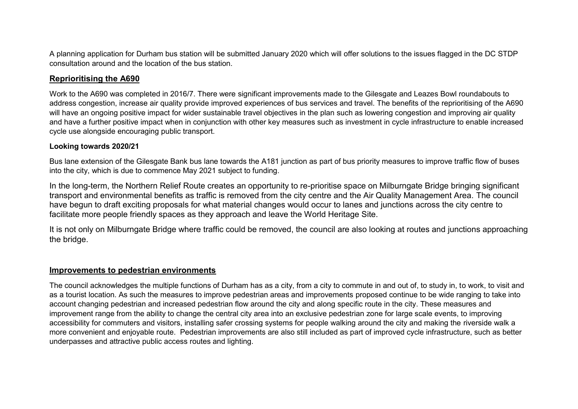A planning application for Durham bus station will be submitted January 2020 which will offer solutions to the issues flagged in the DC STDP consultation around and the location of the bus station.

## **Reprioritising the A690**

Work to the A690 was completed in 2016/7. There were significant improvements made to the Gilesgate and Leazes Bowl roundabouts to address congestion, increase air quality provide improved experiences of bus services and travel. The benefits of the reprioritising of the A690 will have an ongoing positive impact for wider sustainable travel objectives in the plan such as lowering congestion and improving air quality and have a further positive impact when in conjunction with other key measures such as investment in cycle infrastructure to enable increased cycle use alongside encouraging public transport.

#### **Looking towards 2020/21**

Bus lane extension of the Gilesgate Bank bus lane towards the A181 junction as part of bus priority measures to improve traffic flow of buses into the city, which is due to commence May 2021 subject to funding.

In the long-term, the Northern Relief Route creates an opportunity to re-prioritise space on Milburngate Bridge bringing significant transport and environmental benefits as traffic is removed from the city centre and the Air Quality Management Area. The council have begun to draft exciting proposals for what material changes would occur to lanes and junctions across the city centre to facilitate more people friendly spaces as they approach and leave the World Heritage Site.

It is not only on Milburngate Bridge where traffic could be removed, the council are also looking at routes and junctions approaching the bridge.

### **Improvements to pedestrian environments**

The council acknowledges the multiple functions of Durham has as a city, from a city to commute in and out of, to study in, to work, to visit and as a tourist location. As such the measures to improve pedestrian areas and improvements proposed continue to be wide ranging to take into account changing pedestrian and increased pedestrian flow around the city and along specific route in the city. These measures and improvement range from the ability to change the central city area into an exclusive pedestrian zone for large scale events, to improving accessibility for commuters and visitors, installing safer crossing systems for people walking around the city and making the riverside walk a more convenient and enjoyable route. Pedestrian improvements are also still included as part of improved cycle infrastructure, such as better underpasses and attractive public access routes and lighting.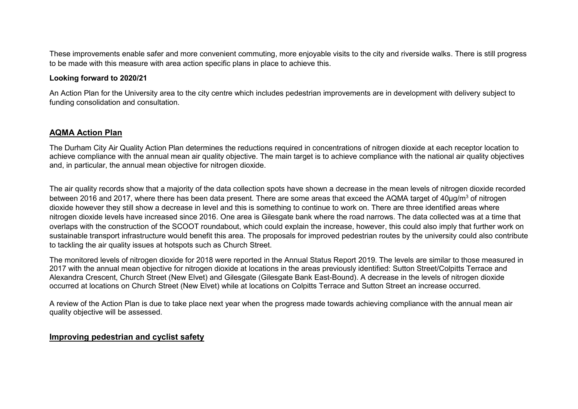These improvements enable safer and more convenient commuting, more enjoyable visits to the city and riverside walks. There is still progress to be made with this measure with area action specific plans in place to achieve this.

#### **Looking forward to 2020/21**

An Action Plan for the University area to the city centre which includes pedestrian improvements are in development with delivery subject to funding consolidation and consultation.

#### **AQMA Action Plan**

The Durham City Air Quality Action Plan determines the reductions required in concentrations of nitrogen dioxide at each receptor location to achieve compliance with the annual mean air quality objective. The main target is to achieve compliance with the national air quality objectives and, in particular, the annual mean objective for nitrogen dioxide.

The air quality records show that a majority of the data collection spots have shown a decrease in the mean levels of nitrogen dioxide recorded between 2016 and 2017, where there has been data present. There are some areas that exceed the AQMA target of 40µg/m<sup>3</sup> of nitrogen dioxide however they still show a decrease in level and this is something to continue to work on. There are three identified areas where nitrogen dioxide levels have increased since 2016. One area is Gilesgate bank where the road narrows. The data collected was at a time that overlaps with the construction of the SCOOT roundabout, which could explain the increase, however, this could also imply that further work on sustainable transport infrastructure would benefit this area. The proposals for improved pedestrian routes by the university could also contribute to tackling the air quality issues at hotspots such as Church Street.

The monitored levels of nitrogen dioxide for 2018 were reported in the Annual Status Report 2019. The levels are similar to those measured in 2017 with the annual mean objective for nitrogen dioxide at locations in the areas previously identified: Sutton Street/Colpitts Terrace and Alexandra Crescent, Church Street (New Elvet) and Gilesgate (Gilesgate Bank East-Bound). A decrease in the levels of nitrogen dioxide occurred at locations on Church Street (New Elvet) while at locations on Colpitts Terrace and Sutton Street an increase occurred.

A review of the Action Plan is due to take place next year when the progress made towards achieving compliance with the annual mean air quality objective will be assessed.

#### **Improving pedestrian and cyclist safety**